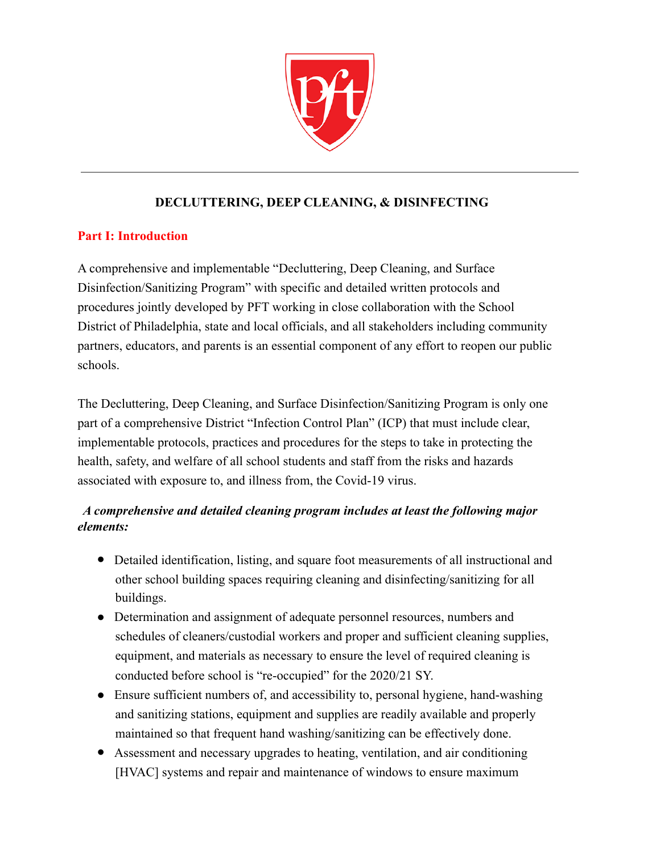

## **DECLUTTERING, DEEP CLEANING, & DISINFECTING**

#### **Part I: Introduction**

A comprehensive and implementable "Decluttering, Deep Cleaning, and Surface Disinfection/Sanitizing Program" with specific and detailed written protocols and procedures jointly developed by PFT working in close collaboration with the School District of Philadelphia, state and local officials, and all stakeholders including community partners, educators, and parents is an essential component of any effort to reopen our public schools.

The Decluttering, Deep Cleaning, and Surface Disinfection/Sanitizing Program is only one part of a comprehensive District "Infection Control Plan" (ICP) that must include clear, implementable protocols, practices and procedures for the steps to take in protecting the health, safety, and welfare of all school students and staff from the risks and hazards associated with exposure to, and illness from, the Covid-19 virus.

## *A comprehensive and detailed cleaning program includes at least the following major elements:*

- Detailed identification, listing, and square foot measurements of all instructional and other school building spaces requiring cleaning and disinfecting/sanitizing for all buildings.
- Determination and assignment of adequate personnel resources, numbers and schedules of cleaners/custodial workers and proper and sufficient cleaning supplies, equipment, and materials as necessary to ensure the level of required cleaning is conducted before school is "re-occupied" for the 2020/21 SY.
- Ensure sufficient numbers of, and accessibility to, personal hygiene, hand-washing and sanitizing stations, equipment and supplies are readily available and properly maintained so that frequent hand washing/sanitizing can be effectively done.
- Assessment and necessary upgrades to heating, ventilation, and air conditioning [HVAC] systems and repair and maintenance of windows to ensure maximum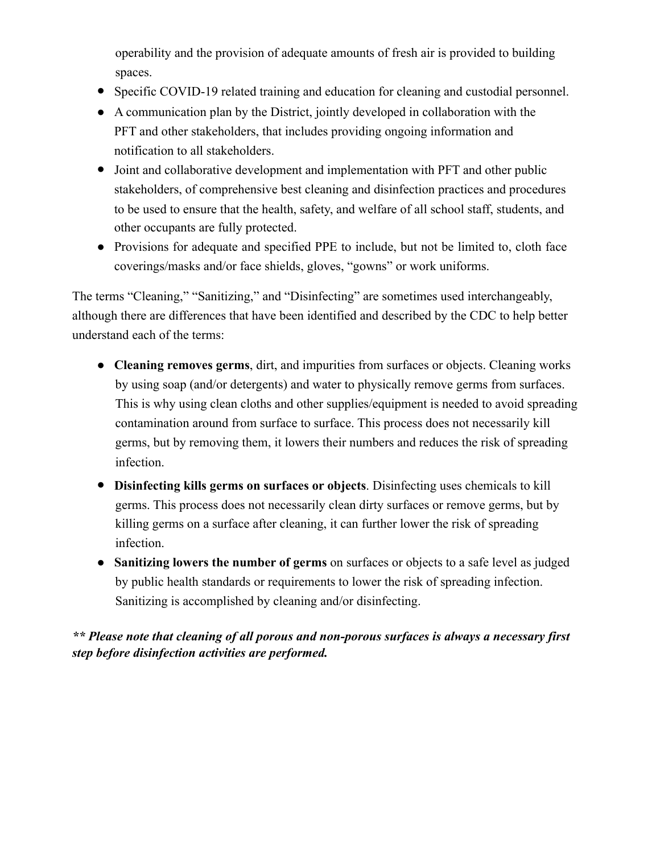operability and the provision of adequate amounts of fresh air is provided to building spaces.

- Specific COVID-19 related training and education for cleaning and custodial personnel.
- A communication plan by the District, jointly developed in collaboration with the PFT and other stakeholders, that includes providing ongoing information and notification to all stakeholders.
- Joint and collaborative development and implementation with PFT and other public stakeholders, of comprehensive best cleaning and disinfection practices and procedures to be used to ensure that the health, safety, and welfare of all school staff, students, and other occupants are fully protected.
- Provisions for adequate and specified PPE to include, but not be limited to, cloth face coverings/masks and/or face shields, gloves, "gowns" or work uniforms.

The terms "Cleaning," "Sanitizing," and "Disinfecting" are sometimes used interchangeably, although there are differences that have been identified and described by the CDC to help better understand each of the terms:

- **Cleaning removes germs**, dirt, and impurities from surfaces or objects. Cleaning works by using soap (and/or detergents) and water to physically remove germs from surfaces. This is why using clean cloths and other supplies/equipment is needed to avoid spreading contamination around from surface to surface. This process does not necessarily kill germs, but by removing them, it lowers their numbers and reduces the risk of spreading infection.
- **Disinfecting kills germs on surfaces or objects**. Disinfecting uses chemicals to kill germs. This process does not necessarily clean dirty surfaces or remove germs, but by killing germs on a surface after cleaning, it can further lower the risk of spreading infection.
- **Sanitizing lowers the number of germs** on surfaces or objects to a safe level as judged by public health standards or requirements to lower the risk of spreading infection. Sanitizing is accomplished by cleaning and/or disinfecting.

*\*\* Please note that cleaning of all porous and non-porous surfaces is always a necessary first step before disinfection activities are performed.*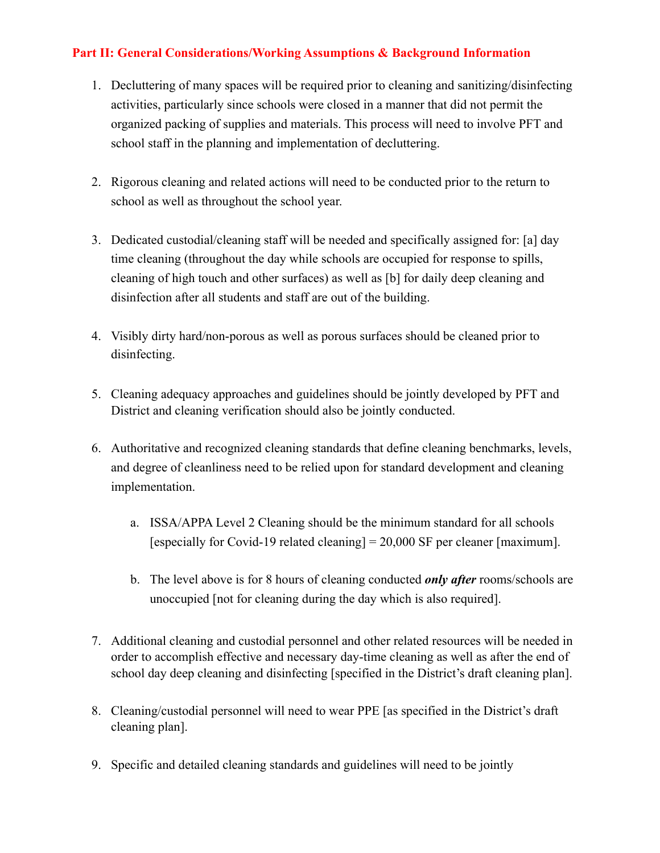### **Part II: General Considerations/Working Assumptions & Background Information**

- 1. Decluttering of many spaces will be required prior to cleaning and sanitizing/disinfecting activities, particularly since schools were closed in a manner that did not permit the organized packing of supplies and materials. This process will need to involve PFT and school staff in the planning and implementation of decluttering.
- 2. Rigorous cleaning and related actions will need to be conducted prior to the return to school as well as throughout the school year.
- 3. Dedicated custodial/cleaning staff will be needed and specifically assigned for: [a] day time cleaning (throughout the day while schools are occupied for response to spills, cleaning of high touch and other surfaces) as well as [b] for daily deep cleaning and disinfection after all students and staff are out of the building.
- 4. Visibly dirty hard/non-porous as well as porous surfaces should be cleaned prior to disinfecting.
- 5. Cleaning adequacy approaches and guidelines should be jointly developed by PFT and District and cleaning verification should also be jointly conducted.
- 6. Authoritative and recognized cleaning standards that define cleaning benchmarks, levels, and degree of cleanliness need to be relied upon for standard development and cleaning implementation.
	- a. ISSA/APPA Level 2 Cleaning should be the minimum standard for all schools [especially for Covid-19 related cleaning] = 20,000 SF per cleaner [maximum].
	- b. The level above is for 8 hours of cleaning conducted *only after* rooms/schools are unoccupied [not for cleaning during the day which is also required].
- 7. Additional cleaning and custodial personnel and other related resources will be needed in order to accomplish effective and necessary day-time cleaning as well as after the end of school day deep cleaning and disinfecting [specified in the District's draft cleaning plan].
- 8. Cleaning/custodial personnel will need to wear PPE [as specified in the District's draft cleaning plan].
- 9. Specific and detailed cleaning standards and guidelines will need to be jointly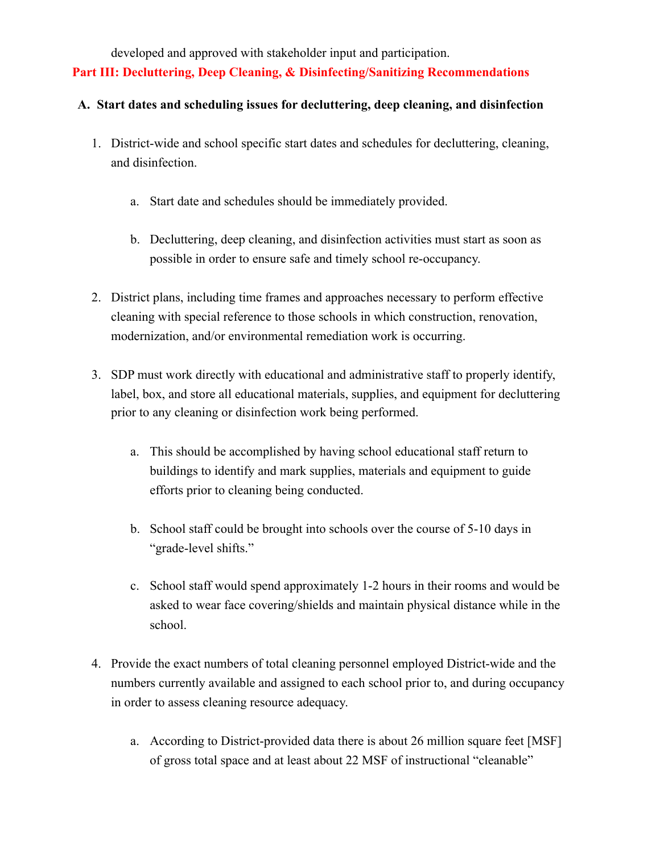developed and approved with stakeholder input and participation.

**Part III: Decluttering, Deep Cleaning, & Disinfecting/Sanitizing Recommendations**

#### **A. Start dates and scheduling issues for decluttering, deep cleaning, and disinfection**

- 1. District-wide and school specific start dates and schedules for decluttering, cleaning, and disinfection.
	- a. Start date and schedules should be immediately provided.
	- b. Decluttering, deep cleaning, and disinfection activities must start as soon as possible in order to ensure safe and timely school re-occupancy.
- 2. District plans, including time frames and approaches necessary to perform effective cleaning with special reference to those schools in which construction, renovation, modernization, and/or environmental remediation work is occurring.
- 3. SDP must work directly with educational and administrative staff to properly identify, label, box, and store all educational materials, supplies, and equipment for decluttering prior to any cleaning or disinfection work being performed.
	- a. This should be accomplished by having school educational staff return to buildings to identify and mark supplies, materials and equipment to guide efforts prior to cleaning being conducted.
	- b. School staff could be brought into schools over the course of 5-10 days in "grade-level shifts."
	- c. School staff would spend approximately 1-2 hours in their rooms and would be asked to wear face covering/shields and maintain physical distance while in the school.
- 4. Provide the exact numbers of total cleaning personnel employed District-wide and the numbers currently available and assigned to each school prior to, and during occupancy in order to assess cleaning resource adequacy.
	- a. According to District-provided data there is about 26 million square feet [MSF] of gross total space and at least about 22 MSF of instructional "cleanable"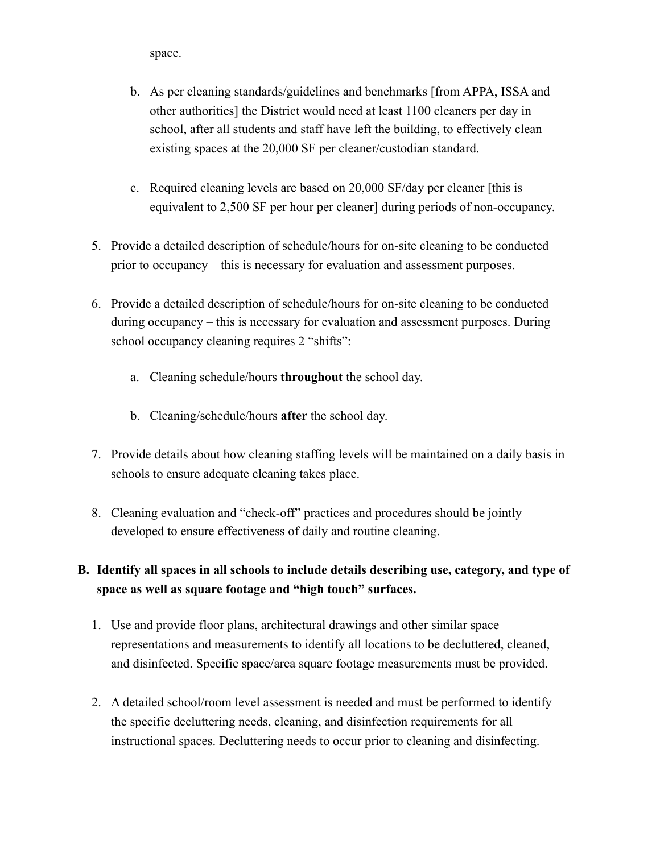space.

- b. As per cleaning standards/guidelines and benchmarks [from APPA, ISSA and other authorities] the District would need at least 1100 cleaners per day in school, after all students and staff have left the building, to effectively clean existing spaces at the 20,000 SF per cleaner/custodian standard.
- c. Required cleaning levels are based on 20,000 SF/day per cleaner [this is equivalent to 2,500 SF per hour per cleaner] during periods of non-occupancy.
- 5. Provide a detailed description of schedule/hours for on-site cleaning to be conducted prior to occupancy – this is necessary for evaluation and assessment purposes.
- 6. Provide a detailed description of schedule/hours for on-site cleaning to be conducted during occupancy – this is necessary for evaluation and assessment purposes. During school occupancy cleaning requires 2 "shifts":
	- a. Cleaning schedule/hours **throughout** the school day.
	- b. Cleaning/schedule/hours **after** the school day.
- 7. Provide details about how cleaning staffing levels will be maintained on a daily basis in schools to ensure adequate cleaning takes place.
- 8. Cleaning evaluation and "check-off" practices and procedures should be jointly developed to ensure effectiveness of daily and routine cleaning.

# **B. Identify all spaces in all schools to include details describing use, category, and type of space as well as square footage and "high touch" surfaces.**

- 1. Use and provide floor plans, architectural drawings and other similar space representations and measurements to identify all locations to be decluttered, cleaned, and disinfected. Specific space/area square footage measurements must be provided.
- 2. A detailed school/room level assessment is needed and must be performed to identify the specific decluttering needs, cleaning, and disinfection requirements for all instructional spaces. Decluttering needs to occur prior to cleaning and disinfecting.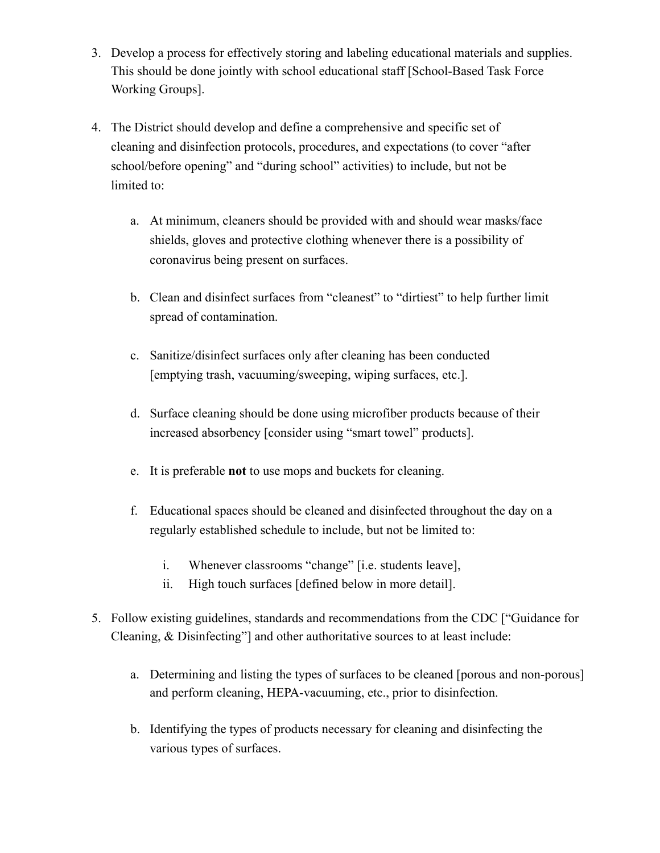- 3. Develop a process for effectively storing and labeling educational materials and supplies. This should be done jointly with school educational staff [School-Based Task Force Working Groups].
- 4. The District should develop and define a comprehensive and specific set of cleaning and disinfection protocols, procedures, and expectations (to cover "after school/before opening" and "during school" activities) to include, but not be limited to:
	- a. At minimum, cleaners should be provided with and should wear masks/face shields, gloves and protective clothing whenever there is a possibility of coronavirus being present on surfaces.
	- b. Clean and disinfect surfaces from "cleanest" to "dirtiest" to help further limit spread of contamination.
	- c. Sanitize/disinfect surfaces only after cleaning has been conducted [emptying trash, vacuuming/sweeping, wiping surfaces, etc.].
	- d. Surface cleaning should be done using microfiber products because of their increased absorbency [consider using "smart towel" products].
	- e. It is preferable **not** to use mops and buckets for cleaning.
	- f. Educational spaces should be cleaned and disinfected throughout the day on a regularly established schedule to include, but not be limited to:
		- i. Whenever classrooms "change" [i.e. students leave],
		- ii. High touch surfaces [defined below in more detail].
- 5. Follow existing guidelines, standards and recommendations from the CDC ["Guidance for Cleaning, & Disinfecting"] and other authoritative sources to at least include:
	- a. Determining and listing the types of surfaces to be cleaned [porous and non-porous] and perform cleaning, HEPA-vacuuming, etc., prior to disinfection.
	- b. Identifying the types of products necessary for cleaning and disinfecting the various types of surfaces.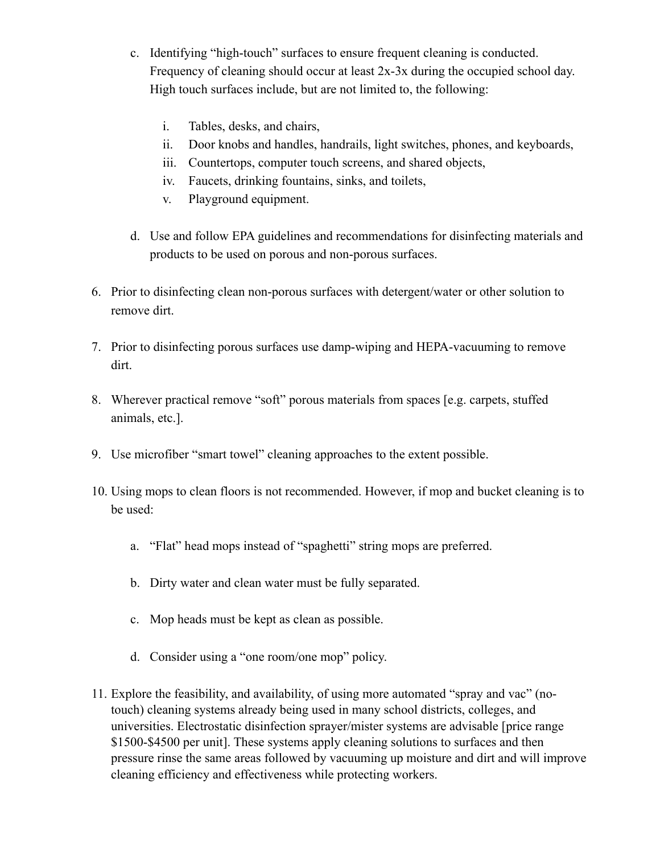- c. Identifying "high-touch" surfaces to ensure frequent cleaning is conducted. Frequency of cleaning should occur at least 2x-3x during the occupied school day. High touch surfaces include, but are not limited to, the following:
	- i. Tables, desks, and chairs,
	- ii. Door knobs and handles, handrails, light switches, phones, and keyboards,
	- iii. Countertops, computer touch screens, and shared objects,
	- iv. Faucets, drinking fountains, sinks, and toilets,
	- v. Playground equipment.
- d. Use and follow EPA guidelines and recommendations for disinfecting materials and products to be used on porous and non-porous surfaces.
- 6. Prior to disinfecting clean non-porous surfaces with detergent/water or other solution to remove dirt.
- 7. Prior to disinfecting porous surfaces use damp-wiping and HEPA-vacuuming to remove dirt.
- 8. Wherever practical remove "soft" porous materials from spaces [e.g. carpets, stuffed animals, etc.].
- 9. Use microfiber "smart towel" cleaning approaches to the extent possible.
- 10. Using mops to clean floors is not recommended. However, if mop and bucket cleaning is to be used:
	- a. "Flat" head mops instead of "spaghetti" string mops are preferred.
	- b. Dirty water and clean water must be fully separated.
	- c. Mop heads must be kept as clean as possible.
	- d. Consider using a "one room/one mop" policy.
- 11. Explore the feasibility, and availability, of using more automated "spray and vac" (notouch) cleaning systems already being used in many school districts, colleges, and universities. Electrostatic disinfection sprayer/mister systems are advisable [price range \$1500-\$4500 per unit]. These systems apply cleaning solutions to surfaces and then pressure rinse the same areas followed by vacuuming up moisture and dirt and will improve cleaning efficiency and effectiveness while protecting workers.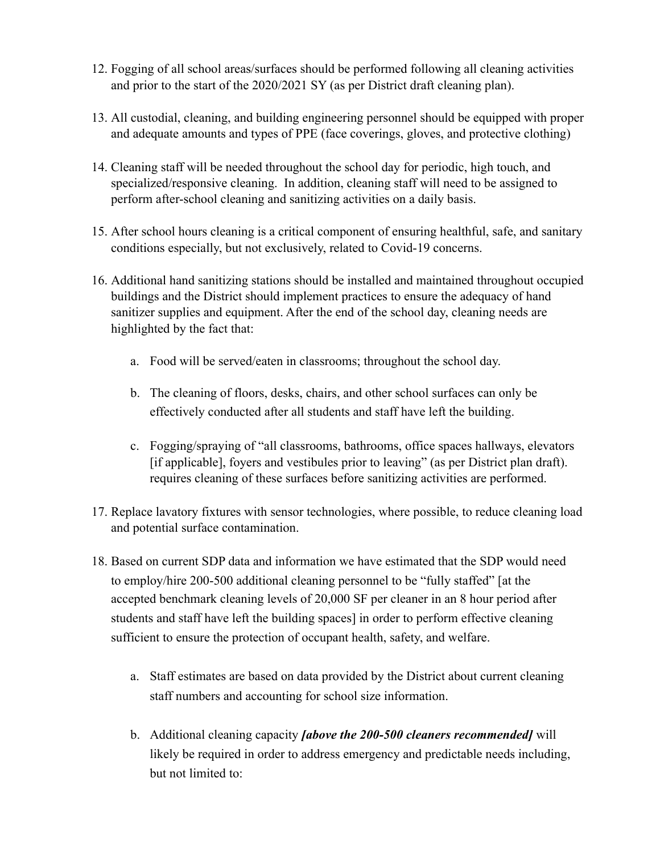- 12. Fogging of all school areas/surfaces should be performed following all cleaning activities and prior to the start of the 2020/2021 SY (as per District draft cleaning plan).
- 13. All custodial, cleaning, and building engineering personnel should be equipped with proper and adequate amounts and types of PPE (face coverings, gloves, and protective clothing)
- 14. Cleaning staff will be needed throughout the school day for periodic, high touch, and specialized/responsive cleaning. In addition, cleaning staff will need to be assigned to perform after-school cleaning and sanitizing activities on a daily basis.
- 15. After school hours cleaning is a critical component of ensuring healthful, safe, and sanitary conditions especially, but not exclusively, related to Covid-19 concerns.
- 16. Additional hand sanitizing stations should be installed and maintained throughout occupied buildings and the District should implement practices to ensure the adequacy of hand sanitizer supplies and equipment. After the end of the school day, cleaning needs are highlighted by the fact that:
	- a. Food will be served/eaten in classrooms; throughout the school day.
	- b. The cleaning of floors, desks, chairs, and other school surfaces can only be effectively conducted after all students and staff have left the building.
	- c. Fogging/spraying of "all classrooms, bathrooms, office spaces hallways, elevators [if applicable], foyers and vestibules prior to leaving" (as per District plan draft). requires cleaning of these surfaces before sanitizing activities are performed.
- 17. Replace lavatory fixtures with sensor technologies, where possible, to reduce cleaning load and potential surface contamination.
- 18. Based on current SDP data and information we have estimated that the SDP would need to employ/hire 200-500 additional cleaning personnel to be "fully staffed" [at the accepted benchmark cleaning levels of 20,000 SF per cleaner in an 8 hour period after students and staff have left the building spaces] in order to perform effective cleaning sufficient to ensure the protection of occupant health, safety, and welfare.
	- a. Staff estimates are based on data provided by the District about current cleaning staff numbers and accounting for school size information.
	- b. Additional cleaning capacity *[above the 200-500 cleaners recommended]* will likely be required in order to address emergency and predictable needs including, but not limited to: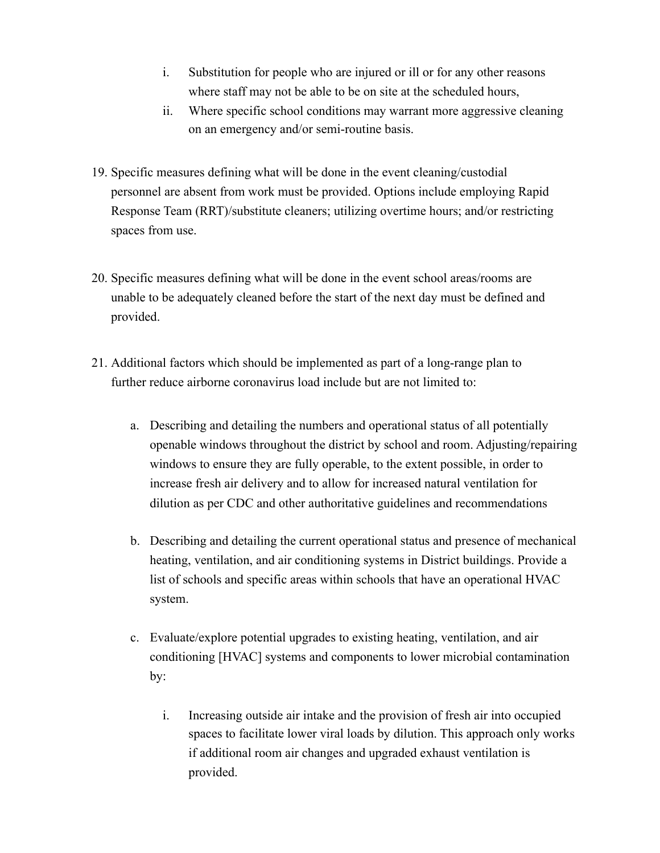- i. Substitution for people who are injured or ill or for any other reasons where staff may not be able to be on site at the scheduled hours,
- ii. Where specific school conditions may warrant more aggressive cleaning on an emergency and/or semi-routine basis.
- 19. Specific measures defining what will be done in the event cleaning/custodial personnel are absent from work must be provided. Options include employing Rapid Response Team (RRT)/substitute cleaners; utilizing overtime hours; and/or restricting spaces from use.
- 20. Specific measures defining what will be done in the event school areas/rooms are unable to be adequately cleaned before the start of the next day must be defined and provided.
- 21. Additional factors which should be implemented as part of a long-range plan to further reduce airborne coronavirus load include but are not limited to:
	- a. Describing and detailing the numbers and operational status of all potentially openable windows throughout the district by school and room. Adjusting/repairing windows to ensure they are fully operable, to the extent possible, in order to increase fresh air delivery and to allow for increased natural ventilation for dilution as per CDC and other authoritative guidelines and recommendations
	- b. Describing and detailing the current operational status and presence of mechanical heating, ventilation, and air conditioning systems in District buildings. Provide a list of schools and specific areas within schools that have an operational HVAC system.
	- c. Evaluate/explore potential upgrades to existing heating, ventilation, and air conditioning [HVAC] systems and components to lower microbial contamination by:
		- i. Increasing outside air intake and the provision of fresh air into occupied spaces to facilitate lower viral loads by dilution. This approach only works if additional room air changes and upgraded exhaust ventilation is provided.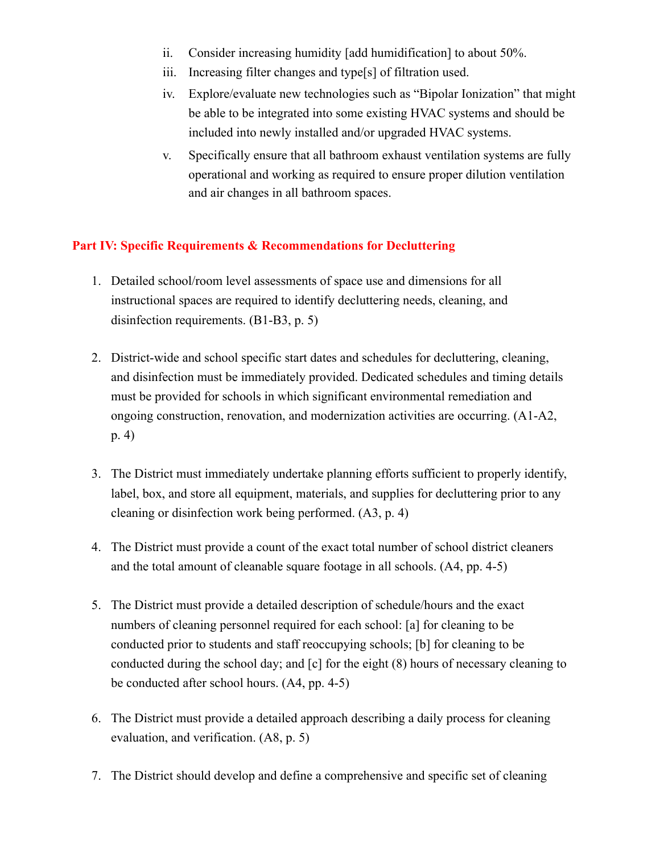- ii. Consider increasing humidity [add humidification] to about 50%.
- iii. Increasing filter changes and type[s] of filtration used.
- iv. Explore/evaluate new technologies such as "Bipolar Ionization" that might be able to be integrated into some existing HVAC systems and should be included into newly installed and/or upgraded HVAC systems.
- v. Specifically ensure that all bathroom exhaust ventilation systems are fully operational and working as required to ensure proper dilution ventilation and air changes in all bathroom spaces.

#### **Part IV: Specific Requirements & Recommendations for Decluttering**

- 1. Detailed school/room level assessments of space use and dimensions for all instructional spaces are required to identify decluttering needs, cleaning, and disinfection requirements. (B1-B3, p. 5)
- 2. District-wide and school specific start dates and schedules for decluttering, cleaning, and disinfection must be immediately provided. Dedicated schedules and timing details must be provided for schools in which significant environmental remediation and ongoing construction, renovation, and modernization activities are occurring. (A1-A2, p. 4)
- 3. The District must immediately undertake planning efforts sufficient to properly identify, label, box, and store all equipment, materials, and supplies for decluttering prior to any cleaning or disinfection work being performed. (A3, p. 4)
- 4. The District must provide a count of the exact total number of school district cleaners and the total amount of cleanable square footage in all schools. (A4, pp. 4-5)
- 5. The District must provide a detailed description of schedule/hours and the exact numbers of cleaning personnel required for each school: [a] for cleaning to be conducted prior to students and staff reoccupying schools; [b] for cleaning to be conducted during the school day; and [c] for the eight (8) hours of necessary cleaning to be conducted after school hours. (A4, pp. 4-5)
- 6. The District must provide a detailed approach describing a daily process for cleaning evaluation, and verification. (A8, p. 5)
- 7. The District should develop and define a comprehensive and specific set of cleaning